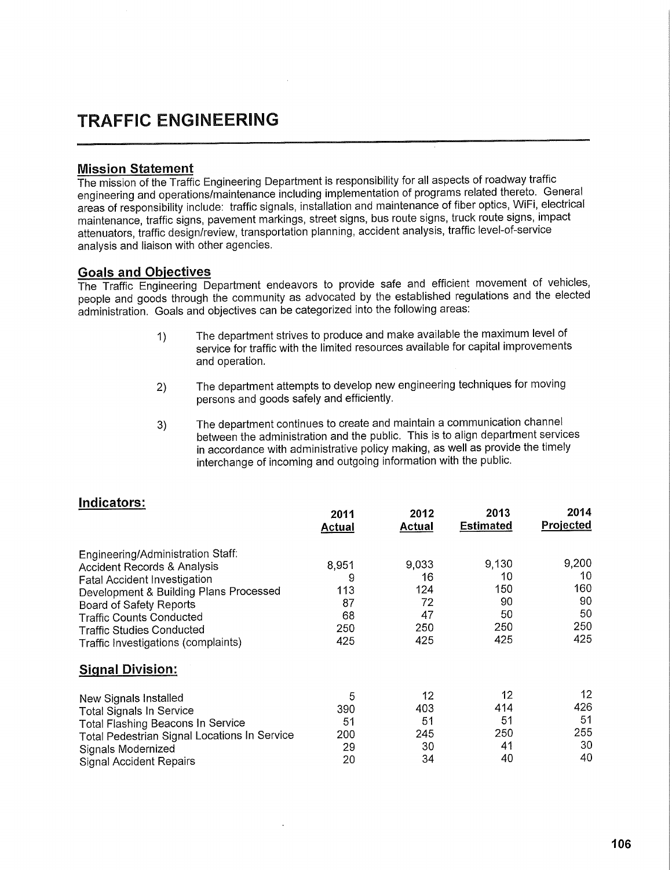## **TRAFFIC ENGINEERING**

## **Mission Statement**

The mission of the Traffic Engineering Department is responsibility for all aspects of roadway traffic engineering and operations/maintenance including implementation of programs related thereto. General areas of responsibility include: traffic signals, installation and maintenance of fiber optics, WiFi, electrical maintenance, traffic signs, pavement markings, street signs, bus route signs, truck route signs, impact attenuators, traffic design/review, transportation planning, accident analysis, traffic levei-of-service analysis and liaison with other agencies.

## **Goals and Objectives**

The Traffic Engineering Department endeavors to provide safe and efficient movement of vehicles, people and goods through the community as advocated by the established regulations and the elected administration. Goals and objectives can be categorized into the following areas:

- 1) The department strives to produce and make available the maximum level of service for traffic with the limited resources available for capital improvements and operation.
- 2) The department attempts to develop new engineering techniques for moving persons and goods safely and efficiently.
- 3) The department continues to create and maintain a communication channel between the administration and the public. This is to align department services in accordance with administrative policy making, as well as provide the timely interchange of incoming and outgoing information with the public.

|                                              | 2011<br>Actual | 2012<br>Actual | 2013<br><b>Estimated</b> | 2014<br>Projected |
|----------------------------------------------|----------------|----------------|--------------------------|-------------------|
| Engineering/Administration Staff:            |                |                |                          |                   |
| <b>Accident Records &amp; Analysis</b>       | 8,951          | 9,033          | 9,130                    | 9,200             |
| <b>Fatal Accident Investigation</b>          | 9              | 16             | 10                       | 10                |
| Development & Building Plans Processed       | 113            | 124            | 150                      | 160               |
| <b>Board of Safety Reports</b>               | 87             | 72             | 90                       | 90                |
| <b>Traffic Counts Conducted</b>              | 68             | 47             | 50                       | 50                |
| <b>Traffic Studies Conducted</b>             | 250            | 250            | 250                      | 250               |
| Traffic Investigations (complaints)          | 425            | 425            | 425                      | 425               |
| <b>Signal Division:</b>                      |                |                |                          |                   |
| New Signals Installed                        | 5              | 12             | 12                       | 12                |
| <b>Total Signals In Service</b>              | 390            | 403            | 414                      | 426               |
| Total Flashing Beacons In Service            | 51             | 51             | 51                       | 51                |
| Total Pedestrian Signal Locations In Service | 200            | 245            | 250                      | 255               |
| Signals Modernized                           | 29             | 30             | 41                       | 30                |
| <b>Signal Accident Repairs</b>               | 20             | 34             | 40                       | 40                |
|                                              |                |                |                          |                   |

## **Indicators:**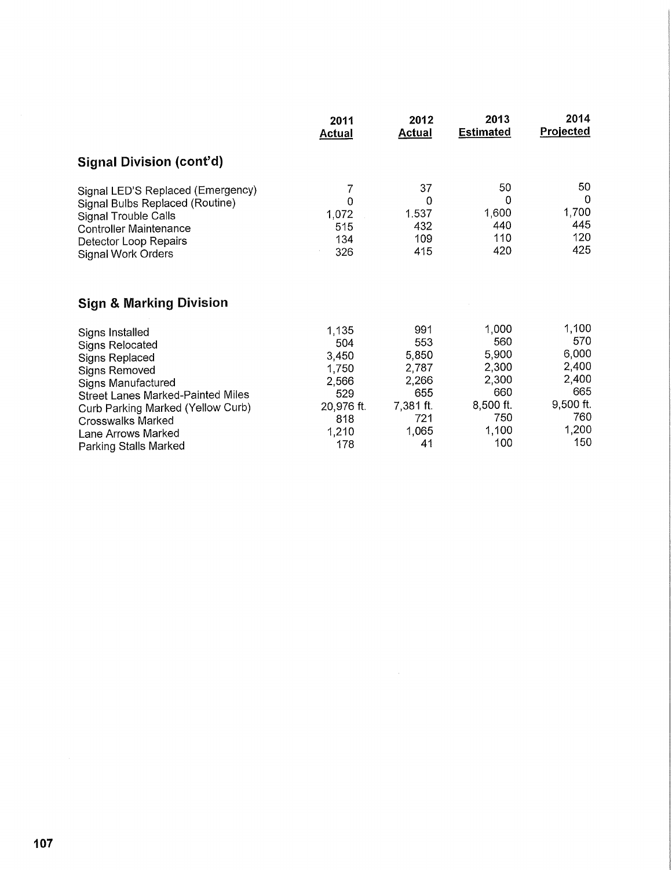|                                                                                                                                                                                            | 2011<br><b>Actual</b>                | 2012<br><b>Actual</b>                 | 2013<br><b>Estimated</b>              | 2014<br><b>Projected</b>                     |
|--------------------------------------------------------------------------------------------------------------------------------------------------------------------------------------------|--------------------------------------|---------------------------------------|---------------------------------------|----------------------------------------------|
| Signal Division (cont'd)                                                                                                                                                                   |                                      |                                       |                                       |                                              |
| Signal LED'S Replaced (Emergency)<br>Signal Bulbs Replaced (Routine)<br><b>Signal Trouble Calls</b><br><b>Controller Maintenance</b><br>Detector Loop Repairs<br><b>Signal Work Orders</b> | 7<br>0<br>1,072<br>515<br>134<br>326 | 37<br>0<br>1.537<br>432<br>109<br>415 | 50<br>0<br>1,600<br>440<br>110<br>420 | 50<br>$\Omega$<br>1,700<br>445<br>120<br>425 |
| <b>Sign &amp; Marking Division</b>                                                                                                                                                         |                                      |                                       |                                       |                                              |
| Signs Installed                                                                                                                                                                            | 1,135                                | 991                                   | 1,000                                 | 1,100                                        |
| <b>Signs Relocated</b>                                                                                                                                                                     | 504                                  | 553                                   | 560                                   | 570                                          |
| Signs Replaced                                                                                                                                                                             | 3,450                                | 5,850                                 | 5,900                                 | 6,000                                        |
| <b>Signs Removed</b>                                                                                                                                                                       | 1,750                                | 2,787                                 | 2,300                                 | 2,400                                        |
| Signs Manufactured                                                                                                                                                                         | 2,566                                | 2,266                                 | 2,300                                 | 2,400                                        |
| Street Lanes Marked-Painted Miles                                                                                                                                                          | 529                                  | 655                                   | 660                                   | 665                                          |
| Curb Parking Marked (Yellow Curb)                                                                                                                                                          | 20,976 ft.                           | 7,381 ft.                             | 8,500 ft.                             | $9,500$ ft.                                  |
| <b>Crosswalks Marked</b>                                                                                                                                                                   | 818                                  | 721                                   | 750                                   | 760                                          |
| Lane Arrows Marked                                                                                                                                                                         | 1,210                                | 1,065                                 | 1,100                                 | 1,200                                        |
| Parking Stalls Marked                                                                                                                                                                      | 178                                  | 41                                    | 100                                   | 150                                          |

Parking Stalls Marked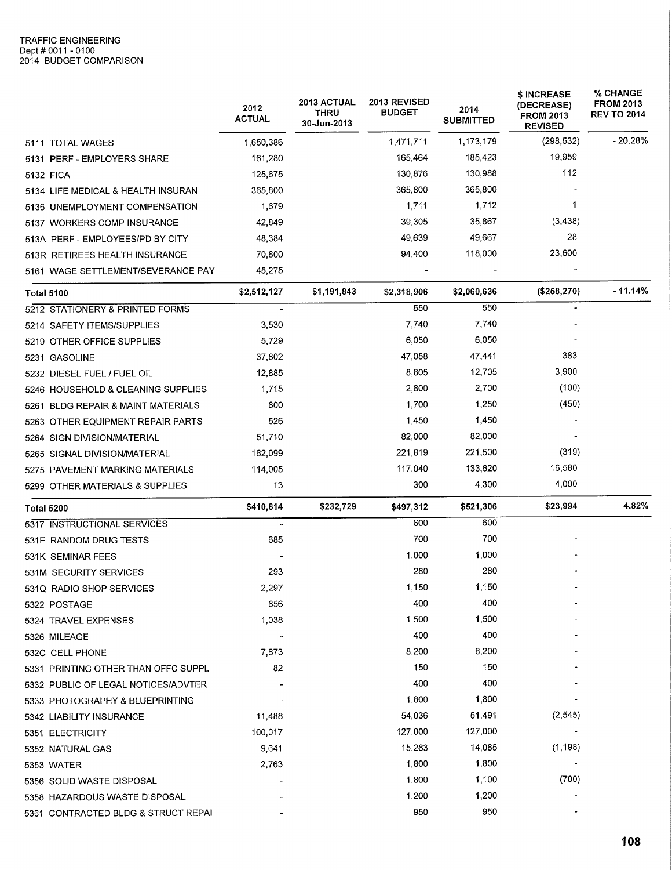|                                     | 2012<br><b>ACTUAL</b> | 2013 ACTUAL<br><b>THRU</b><br>30-Jun-2013 | 2013 REVISED<br><b>BUDGET</b> | 2014<br><b>SUBMITTED</b> | \$ INCREASE<br>(DECREASE)<br><b>FROM 2013</b><br><b>REVISED</b> | <b>% CHANGE</b><br><b>FROM 2013</b><br><b>REV TO 2014</b> |
|-------------------------------------|-----------------------|-------------------------------------------|-------------------------------|--------------------------|-----------------------------------------------------------------|-----------------------------------------------------------|
| 5111 TOTAL WAGES                    | 1,650,386             |                                           | 1,471,711                     | 1,173,179                | (298, 532)                                                      | $-20.28%$                                                 |
| 5131 PERF - EMPLOYERS SHARE         | 161,280               |                                           | 165.464                       | 185,423                  | 19,959                                                          |                                                           |
| 5132 FICA                           | 125,675               |                                           | 130,876                       | 130,988                  | 112                                                             |                                                           |
| 5134 LIFE MEDICAL & HEALTH INSURAN  | 365,800               |                                           | 365,800                       | 365,800                  |                                                                 |                                                           |
| 5136 UNEMPLOYMENT COMPENSATION      | 1,679                 |                                           | 1,711                         | 1,712                    | 1                                                               |                                                           |
| 5137 WORKERS COMP INSURANCE         | 42,849                |                                           | 39,305                        | 35,867                   | (3, 438)                                                        |                                                           |
| 513A PERF - EMPLOYEES/PD BY CITY    | 48,384                |                                           | 49,639                        | 49,667                   | 28                                                              |                                                           |
| 513R RETIREES HEALTH INSURANCE      | 70,800                |                                           | 94,400                        | 118,000                  | 23,600                                                          |                                                           |
| 5161 WAGE SETTLEMENT/SEVERANCE PAY  | 45,275                |                                           |                               |                          |                                                                 |                                                           |
| <b>Total 5100</b>                   | \$2,512,127           | \$1,191,843                               | \$2,318,906                   | \$2,060,636              | (\$258,270)                                                     | $-11.14%$                                                 |
| 5212 STATIONERY & PRINTED FORMS     |                       |                                           | 550                           | 550                      |                                                                 |                                                           |
| 5214 SAFETY ITEMS/SUPPLIES          | 3,530                 |                                           | 7,740                         | 7,740                    |                                                                 |                                                           |
| 5219 OTHER OFFICE SUPPLIES          | 5,729                 |                                           | 6,050                         | 6,050                    |                                                                 |                                                           |
| 5231 GASOLINE                       | 37,802                |                                           | 47,058                        | 47,441                   | 383                                                             |                                                           |
| 5232 DIESEL FUEL / FUEL OIL         | 12,885                |                                           | 8,805                         | 12,705                   | 3,900                                                           |                                                           |
| 5246 HOUSEHOLD & CLEANING SUPPLIES  | 1,715                 |                                           | 2,800                         | 2,700                    | (100)                                                           |                                                           |
| 5261 BLDG REPAIR & MAINT MATERIALS  | 800                   |                                           | 1,700                         | 1,250                    | (450)                                                           |                                                           |
| 5263 OTHER EQUIPMENT REPAIR PARTS   | 526                   |                                           | 1,450                         | 1,450                    |                                                                 |                                                           |
| 5264 SIGN DIVISION/MATERIAL         | 51,710                |                                           | 82,000                        | 82,000                   |                                                                 |                                                           |
| 5265 SIGNAL DIVISION/MATERIAL       | 182,099               |                                           | 221,819                       | 221,500                  | (319)                                                           |                                                           |
| 5275 PAVEMENT MARKING MATERIALS     | 114,005               |                                           | 117,040                       | 133,620                  | 16,580                                                          |                                                           |
| 5299 OTHER MATERIALS & SUPPLIES     | 13                    |                                           | 300                           | 4,300                    | 4,000                                                           |                                                           |
| Total 5200                          | \$410,814             | \$232,729                                 | \$497,312                     | \$521,306                | \$23,994                                                        | 4.82%                                                     |
| 5317 INSTRUCTIONAL SERVICES         |                       |                                           | 600                           | 600                      |                                                                 |                                                           |
| 531E RANDOM DRUG TESTS              | 685                   |                                           | 700                           | 700                      |                                                                 |                                                           |
| 531K SEMINAR FEES                   |                       |                                           | 1,000                         | 1,000                    |                                                                 |                                                           |
| 531M SECURITY SERVICES              | 293                   |                                           | 280                           | 280                      |                                                                 |                                                           |
| 531Q RADIO SHOP SERVICES            | 2,297                 |                                           | 1,150                         | 1,150                    |                                                                 |                                                           |
| 5322 POSTAGE                        | 856                   |                                           | 400                           | 400                      |                                                                 |                                                           |
| 5324 TRAVEL EXPENSES                | 1,038                 |                                           | 1,500                         | 1,500                    |                                                                 |                                                           |
| 5326 MILEAGE                        |                       |                                           | 400                           | 400                      |                                                                 |                                                           |
| 532C CELL PHONE                     | 7,873                 |                                           | 8,200                         | 8,200                    |                                                                 |                                                           |
| 5331 PRINTING OTHER THAN OFFC SUPPL | 82                    |                                           | 150                           | 150                      |                                                                 |                                                           |
| 5332 PUBLIC OF LEGAL NOTICES/ADVTER |                       |                                           | 400                           | 400                      |                                                                 |                                                           |
| 5333 PHOTOGRAPHY & BLUEPRINTING     |                       |                                           | 1,800                         | 1,800                    |                                                                 |                                                           |
| 5342 LIABILITY INSURANCE            | 11,488                |                                           | 54,036                        | 51,491                   | (2, 545)                                                        |                                                           |
| 5351 ELECTRICITY                    | 100,017               |                                           | 127,000                       | 127,000                  |                                                                 |                                                           |
| 5352 NATURAL GAS                    | 9,641                 |                                           | 15,283                        | 14,085                   | (1, 198)                                                        |                                                           |
| 5353 WATER                          | 2,763                 |                                           | 1,800                         | 1,800                    |                                                                 |                                                           |
| 5356 SOLID WASTE DISPOSAL           |                       |                                           | 1,800                         | 1,100                    | (700)                                                           |                                                           |
| 5358 HAZARDOUS WASTE DISPOSAL       |                       |                                           | 1,200                         | 1,200                    |                                                                 |                                                           |
| 5361 CONTRACTED BLDG & STRUCT REPAI |                       |                                           | 950                           | 950                      |                                                                 |                                                           |